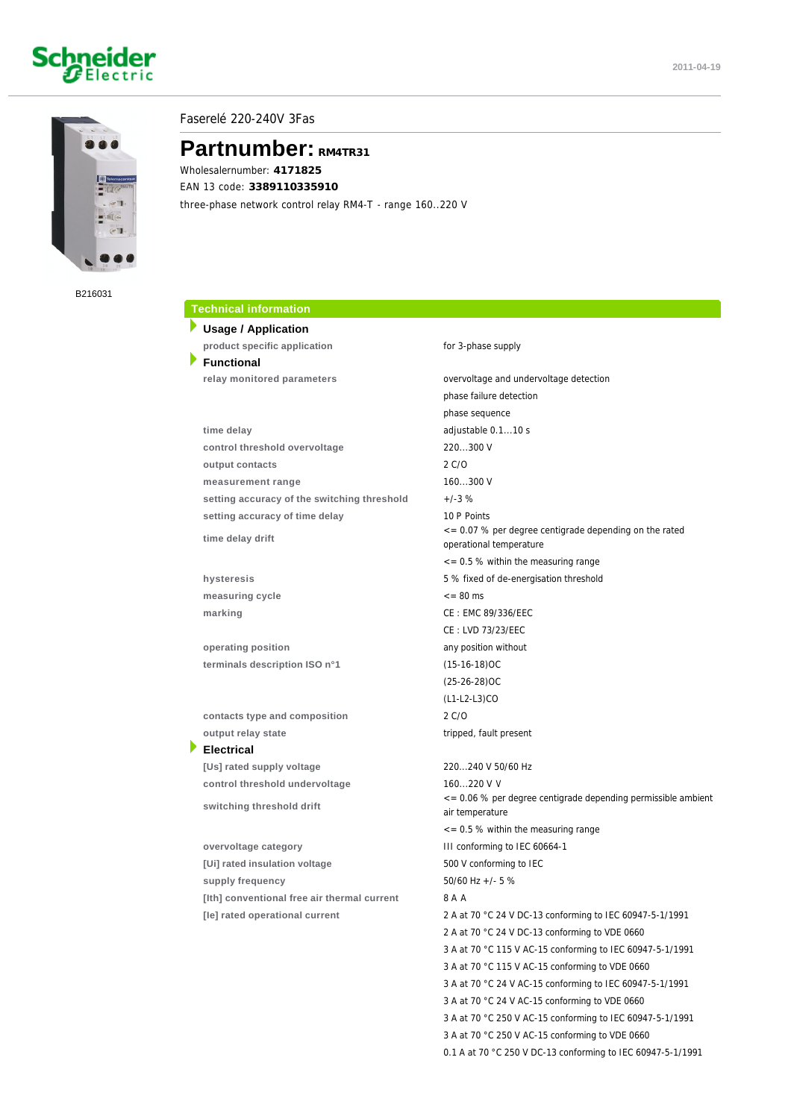# Schneider



### Faserelé 220-240V 3Fas

## **Partnumber: RM4TR31**

Wholesalernumber: **4171825** EAN 13 code: **3389110335910** three-phase network control relay RM4-T - range 160..220 V

B216031

### **Technical information**

**Usage / Application product specific application for 3-phase supply Functional relay monitored parameters** overvoltage and undervoltage detection **time delay** adjustable 0.1...10 s **control threshold overvoltage** 220...300 V **output contacts** 2 C/O **measurement range** 160...300 V

setting accuracy of the switching threshold  $+/-3$  % setting accuracy of time delay 10 P Points

**time delay drift**

measuring cycle  $\leq 80$  ms **marking** CE : EMC 89/336/EEC

**operating position** any position without **terminals description ISO n°1** (15-16-18)OC

 **contacts type and composition** 2 C/O **output relay state** tripped, fault present **Electrical**

 **[Us] rated supply voltage** 220...240 V 50/60 Hz **control threshold undervoltage** 160...220 V <sup>V</sup>

**switching threshold drift**

 **overvoltage category** III conforming to IEC 60664-1 [Ui] rated insulation voltage 500 V conforming to IEC **supply frequency** 50/60 Hz +/- 5 % **[Ith] conventional free air thermal current** 8 A <sup>A</sup>

 phase failure detection phase sequence <= 0.07 % per degree centigrade depending on the rated operational temperature  $\epsilon$  = 0.5 % within the measuring range **hysteresis** 5 % fixed of de-energisation threshold CE : LVD 73/23/EEC (25-26-28)OC (L1-L2-L3)CO <= 0.06 % per degree centigrade depending permissible ambient air temperature <= 0.5 % within the measuring range **[Ie] rated operational current** 2 A at 70 °C 24 V DC-13 conforming to IEC 60947-5-1/1991 2 A at 70 °C 24 V DC-13 conforming to VDE 0660 3 A at 70 °C 115 V AC-15 conforming to IEC 60947-5-1/1991 3 A at 70 °C 115 V AC-15 conforming to VDE 0660 3 A at 70 °C 24 V AC-15 conforming to IEC 60947-5-1/1991 3 A at 70 °C 24 V AC-15 conforming to VDE 0660 3 A at 70 °C 250 V AC-15 conforming to IEC 60947-5-1/1991 3 A at 70 °C 250 V AC-15 conforming to VDE 0660

0.1 A at 70 °C 250 V DC-13 conforming to IEC 60947-5-1/1991